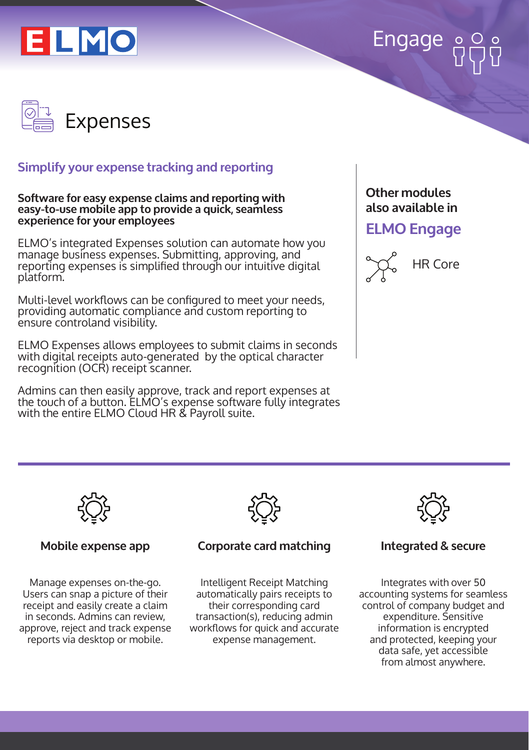



# **Simplify your expense tracking and reporting**

#### **Software for easy expense claims and reporting with easy-to-use mobile app to provide a quick, seamless experience for your employees**

ELMO's integrated Expenses solution can automate how you manage business expenses. Submitting, approving, and reporting expenses is simplified through our intuitive digital platform.

Multi-level workflows can be configured to meet your needs, providing automatic compliance and custom reporting to ensure controland visibility.

ELMO Expenses allows employees to submit claims in seconds with digital receipts auto-generated by the optical character recognition (OCR) receipt scanner.

Admins can then easily approve, track and report expenses at the touch of a button. ELMO's expense software fully integrates with the entire ELMO Cloud HR & Payroll suite.

# **Other modules also available in**

# **ELMO Engage**





#### **Mobile expense app**

Manage expenses on-the-go. Users can snap a picture of their receipt and easily create a claim in seconds. Admins can review, approve, reject and track expense reports via desktop or mobile.



### **Corporate card matching**

Intelligent Receipt Matching automatically pairs receipts to their corresponding card transaction(s), reducing admin workflows for quick and accurate expense management.



### **Integrated & secure**

Integrates with over 50 accounting systems for seamless control of company budget and expenditure. Sensitive information is encrypted and protected, keeping your data safe, yet accessible from almost anywhere.